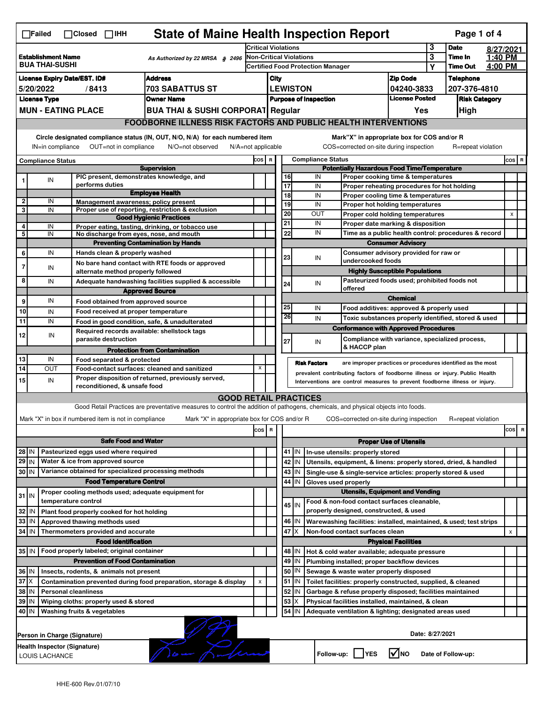|                                                                                                                                                                                                                               | <b>State of Maine Health Inspection Report</b><br>Page 1 of 4<br>$\Box$ Failed<br>$\Box$ Closed $\Box$ IHH |                                                                            |                                                                                                                                                                                         |     |                                                                            |                                             |                                                                                                      |                              |                                                                                           |                                       |              |                            |                    |                |   |
|-------------------------------------------------------------------------------------------------------------------------------------------------------------------------------------------------------------------------------|------------------------------------------------------------------------------------------------------------|----------------------------------------------------------------------------|-----------------------------------------------------------------------------------------------------------------------------------------------------------------------------------------|-----|----------------------------------------------------------------------------|---------------------------------------------|------------------------------------------------------------------------------------------------------|------------------------------|-------------------------------------------------------------------------------------------|---------------------------------------|--------------|----------------------------|--------------------|----------------|---|
|                                                                                                                                                                                                                               |                                                                                                            |                                                                            |                                                                                                                                                                                         |     | <b>Critical Violations</b>                                                 |                                             |                                                                                                      |                              |                                                                                           |                                       | 3            | <b>Date</b>                | 8/27/2021          |                |   |
| <b>Establishment Name</b><br>As Authorized by 22 MRSA § 2496<br><b>BUA THAI-SUSHI</b>                                                                                                                                         |                                                                                                            |                                                                            |                                                                                                                                                                                         |     | <b>Non-Critical Violations</b><br><b>Certified Food Protection Manager</b> |                                             |                                                                                                      |                              |                                                                                           |                                       | 3<br>Υ       | Time In<br><b>Time Out</b> | 1:40 PM<br>4:00 PM |                |   |
|                                                                                                                                                                                                                               | <b>Address</b><br><b>License Expiry Date/EST. ID#</b>                                                      |                                                                            |                                                                                                                                                                                         |     |                                                                            |                                             |                                                                                                      |                              |                                                                                           |                                       |              | <b>Telephone</b>           |                    |                |   |
| <b>703 SABATTUS ST</b><br>5/20/2022<br>/8413                                                                                                                                                                                  |                                                                                                            |                                                                            |                                                                                                                                                                                         |     | <b>Zip Code</b><br>City<br><b>LEWISTON</b>                                 |                                             |                                                                                                      |                              | 04240-3833                                                                                |                                       | 207-376-4810 |                            |                    |                |   |
| <b>License Type</b><br><b>Owner Name</b>                                                                                                                                                                                      |                                                                                                            |                                                                            |                                                                                                                                                                                         |     |                                                                            |                                             |                                                                                                      | <b>Purpose of Inspection</b> |                                                                                           | <b>License Posted</b>                 |              | <b>Risk Category</b>       |                    |                |   |
|                                                                                                                                                                                                                               |                                                                                                            | <b>MUN - EATING PLACE</b>                                                  | <b>BUA THAI &amp; SUSHI CORPORAT Regular</b>                                                                                                                                            |     |                                                                            |                                             |                                                                                                      |                              |                                                                                           | Yes                                   |              | <b>High</b>                |                    |                |   |
|                                                                                                                                                                                                                               | <b>FOODBORNE ILLNESS RISK FACTORS AND PUBLIC HEALTH INTERVENTIONS</b>                                      |                                                                            |                                                                                                                                                                                         |     |                                                                            |                                             |                                                                                                      |                              |                                                                                           |                                       |              |                            |                    |                |   |
| Circle designated compliance status (IN, OUT, N/O, N/A) for each numbered item<br>Mark"X" in appropriate box for COS and/or R                                                                                                 |                                                                                                            |                                                                            |                                                                                                                                                                                         |     |                                                                            |                                             |                                                                                                      |                              |                                                                                           |                                       |              |                            |                    |                |   |
| IN=in compliance<br>OUT=not in compliance<br>COS=corrected on-site during inspection<br>R=repeat violation<br>N/O=not observed<br>$N/A = not$ applicable                                                                      |                                                                                                            |                                                                            |                                                                                                                                                                                         |     |                                                                            |                                             |                                                                                                      |                              |                                                                                           |                                       |              |                            |                    |                |   |
| <b>Compliance Status</b>                                                                                                                                                                                                      |                                                                                                            |                                                                            |                                                                                                                                                                                         |     | COS R                                                                      | <b>Compliance Status</b>                    |                                                                                                      |                              |                                                                                           |                                       |              |                            | $cos$ R            |                |   |
| <b>Supervision</b><br>PIC present, demonstrates knowledge, and                                                                                                                                                                |                                                                                                            |                                                                            |                                                                                                                                                                                         |     |                                                                            |                                             | <b>Potentially Hazardous Food Time/Temperature</b><br>IN<br>16<br>Proper cooking time & temperatures |                              |                                                                                           |                                       |              |                            |                    |                |   |
|                                                                                                                                                                                                                               | IN                                                                                                         | performs duties                                                            |                                                                                                                                                                                         |     |                                                                            | $\overline{17}$                             |                                                                                                      | IN                           | Proper reheating procedures for hot holding                                               |                                       |              |                            |                    |                |   |
| $\mathbf{2}$                                                                                                                                                                                                                  | IN                                                                                                         | Management awareness; policy present                                       | <b>Employee Health</b>                                                                                                                                                                  |     |                                                                            | 18                                          |                                                                                                      | IN                           | Proper cooling time & temperatures                                                        |                                       |              |                            |                    |                |   |
| 3                                                                                                                                                                                                                             | IN                                                                                                         |                                                                            | Proper use of reporting, restriction & exclusion                                                                                                                                        |     |                                                                            | 19<br>20                                    |                                                                                                      | IN                           | Proper hot holding temperatures                                                           |                                       |              |                            |                    |                |   |
|                                                                                                                                                                                                                               |                                                                                                            |                                                                            | <b>Good Hygienic Practices</b>                                                                                                                                                          |     |                                                                            | 21                                          |                                                                                                      | OUT<br>IN                    | Proper cold holding temperatures                                                          |                                       |              |                            |                    | $\pmb{\times}$ |   |
| 4<br>5                                                                                                                                                                                                                        | IN<br>IN                                                                                                   | No discharge from eyes, nose, and mouth                                    | Proper eating, tasting, drinking, or tobacco use                                                                                                                                        |     |                                                                            | 22                                          |                                                                                                      | IN                           | Proper date marking & disposition<br>Time as a public health control: procedures & record |                                       |              |                            |                    |                |   |
|                                                                                                                                                                                                                               |                                                                                                            |                                                                            | <b>Preventing Contamination by Hands</b>                                                                                                                                                |     |                                                                            |                                             |                                                                                                      |                              |                                                                                           | <b>Consumer Advisory</b>              |              |                            |                    |                |   |
| 6                                                                                                                                                                                                                             | IN                                                                                                         | Hands clean & properly washed                                              |                                                                                                                                                                                         |     |                                                                            | 23                                          |                                                                                                      |                              |                                                                                           | Consumer advisory provided for raw or |              |                            |                    |                |   |
| 7                                                                                                                                                                                                                             | IN                                                                                                         |                                                                            | No bare hand contact with RTE foods or approved                                                                                                                                         |     |                                                                            |                                             |                                                                                                      | IN                           | undercooked foods                                                                         |                                       |              |                            |                    |                |   |
|                                                                                                                                                                                                                               |                                                                                                            | alternate method properly followed                                         |                                                                                                                                                                                         |     |                                                                            |                                             |                                                                                                      |                              |                                                                                           | <b>Highly Susceptible Populations</b> |              |                            |                    |                |   |
| 8                                                                                                                                                                                                                             | IN                                                                                                         |                                                                            | Adequate handwashing facilities supplied & accessible                                                                                                                                   |     |                                                                            | 24                                          |                                                                                                      | IN                           | Pasteurized foods used; prohibited foods not<br>offered                                   |                                       |              |                            |                    |                |   |
| 9                                                                                                                                                                                                                             | IN                                                                                                         | Food obtained from approved source                                         | <b>Approved Source</b>                                                                                                                                                                  |     |                                                                            |                                             |                                                                                                      |                              |                                                                                           | <b>Chemical</b>                       |              |                            |                    |                |   |
| 10                                                                                                                                                                                                                            | IN                                                                                                         | Food received at proper temperature                                        |                                                                                                                                                                                         |     |                                                                            | 25                                          |                                                                                                      | IN                           | Food additives: approved & properly used                                                  |                                       |              |                            |                    |                |   |
| 11                                                                                                                                                                                                                            | IN                                                                                                         |                                                                            | Food in good condition, safe, & unadulterated                                                                                                                                           |     |                                                                            | 26                                          |                                                                                                      | IN                           | Toxic substances properly identified, stored & used                                       |                                       |              |                            |                    |                |   |
|                                                                                                                                                                                                                               |                                                                                                            | Required records available: shellstock tags                                |                                                                                                                                                                                         |     |                                                                            |                                             |                                                                                                      |                              | <b>Conformance with Approved Procedures</b>                                               |                                       |              |                            |                    |                |   |
| 12                                                                                                                                                                                                                            | IN                                                                                                         | parasite destruction                                                       |                                                                                                                                                                                         |     |                                                                            | 27                                          |                                                                                                      | IN                           | Compliance with variance, specialized process,                                            |                                       |              |                            |                    |                |   |
|                                                                                                                                                                                                                               |                                                                                                            |                                                                            | <b>Protection from Contamination</b>                                                                                                                                                    |     |                                                                            |                                             |                                                                                                      |                              | & HACCP plan                                                                              |                                       |              |                            |                    |                |   |
| 13                                                                                                                                                                                                                            | IN                                                                                                         | Food separated & protected                                                 |                                                                                                                                                                                         |     |                                                                            |                                             |                                                                                                      | <b>Risk Factors</b>          | are improper practices or procedures identified as the most                               |                                       |              |                            |                    |                |   |
| 14                                                                                                                                                                                                                            | OUT                                                                                                        |                                                                            | X<br>Food-contact surfaces: cleaned and sanitized<br>prevalent contributing factors of foodborne illness or injury. Public Health<br>Proper disposition of returned, previously served, |     |                                                                            |                                             |                                                                                                      |                              |                                                                                           |                                       |              |                            |                    |                |   |
| 15                                                                                                                                                                                                                            | IN                                                                                                         | reconditioned, & unsafe food                                               |                                                                                                                                                                                         |     |                                                                            |                                             |                                                                                                      |                              | Interventions are control measures to prevent foodborne illness or injury.                |                                       |              |                            |                    |                |   |
|                                                                                                                                                                                                                               |                                                                                                            |                                                                            | <b>GOOD RETAIL PRACTICES</b>                                                                                                                                                            |     |                                                                            |                                             |                                                                                                      |                              |                                                                                           |                                       |              |                            |                    |                |   |
|                                                                                                                                                                                                                               |                                                                                                            |                                                                            | Good Retail Practices are preventative measures to control the addition of pathogens, chemicals, and physical objects into foods.                                                       |     |                                                                            |                                             |                                                                                                      |                              |                                                                                           |                                       |              |                            |                    |                |   |
|                                                                                                                                                                                                                               |                                                                                                            | Mark "X" in box if numbered item is not in compliance                      | Mark "X" in appropriate box for COS and/or R                                                                                                                                            |     |                                                                            |                                             |                                                                                                      |                              | COS=corrected on-site during inspection                                                   |                                       |              | R=repeat violation         |                    |                |   |
|                                                                                                                                                                                                                               |                                                                                                            |                                                                            |                                                                                                                                                                                         | cos | R                                                                          |                                             |                                                                                                      |                              |                                                                                           |                                       |              |                            |                    | cos            | R |
|                                                                                                                                                                                                                               |                                                                                                            | <b>Safe Food and Water</b>                                                 |                                                                                                                                                                                         |     |                                                                            |                                             |                                                                                                      |                              |                                                                                           | <b>Proper Use of Utensils</b>         |              |                            |                    |                |   |
| Pasteurized eggs used where required<br>28 IN                                                                                                                                                                                 |                                                                                                            |                                                                            |                                                                                                                                                                                         |     |                                                                            |                                             | 41 IN                                                                                                |                              | In-use utensils: properly stored                                                          |                                       |              |                            |                    |                |   |
| $29$ IN                                                                                                                                                                                                                       |                                                                                                            | Water & ice from approved source                                           |                                                                                                                                                                                         |     |                                                                            |                                             | 42 IN                                                                                                |                              | Utensils, equipment, & linens: properly stored, dried, & handled                          |                                       |              |                            |                    |                |   |
| 30 IN                                                                                                                                                                                                                         |                                                                                                            | Variance obtained for specialized processing methods                       |                                                                                                                                                                                         |     |                                                                            |                                             | $43$ IN                                                                                              |                              | Single-use & single-service articles: properly stored & used                              |                                       |              |                            |                    |                |   |
|                                                                                                                                                                                                                               |                                                                                                            | <b>Food Temperature Control</b>                                            |                                                                                                                                                                                         |     |                                                                            | 44                                          | IN                                                                                                   | Gloves used properly         | <b>Utensils, Equipment and Vending</b>                                                    |                                       |              |                            |                    |                |   |
| $31$ IN                                                                                                                                                                                                                       |                                                                                                            | Proper cooling methods used; adequate equipment for<br>temperature control |                                                                                                                                                                                         |     |                                                                            |                                             |                                                                                                      |                              | Food & non-food contact surfaces cleanable,                                               |                                       |              |                            |                    |                |   |
| 32                                                                                                                                                                                                                            | IN                                                                                                         | Plant food properly cooked for hot holding                                 |                                                                                                                                                                                         |     |                                                                            |                                             | 45   IN                                                                                              |                              | properly designed, constructed, & used                                                    |                                       |              |                            |                    |                |   |
| 33                                                                                                                                                                                                                            | IN                                                                                                         | Approved thawing methods used                                              |                                                                                                                                                                                         |     |                                                                            |                                             | 46 IN                                                                                                |                              | Warewashing facilities: installed, maintained, & used; test strips                        |                                       |              |                            |                    |                |   |
| 34 IN                                                                                                                                                                                                                         |                                                                                                            | Thermometers provided and accurate                                         |                                                                                                                                                                                         |     |                                                                            | 47<br>ΙX<br>Non-food contact surfaces clean |                                                                                                      |                              |                                                                                           |                                       |              |                            | X                  |                |   |
|                                                                                                                                                                                                                               |                                                                                                            | <b>Food Identification</b>                                                 |                                                                                                                                                                                         |     |                                                                            | <b>Physical Facilities</b>                  |                                                                                                      |                              |                                                                                           |                                       |              |                            |                    |                |   |
|                                                                                                                                                                                                                               |                                                                                                            | 35 IN   Food properly labeled; original container                          |                                                                                                                                                                                         |     |                                                                            |                                             | 48   IN                                                                                              |                              | Hot & cold water available; adequate pressure                                             |                                       |              |                            |                    |                |   |
|                                                                                                                                                                                                                               |                                                                                                            | <b>Prevention of Food Contamination</b>                                    |                                                                                                                                                                                         |     |                                                                            | 49                                          | IN                                                                                                   |                              | Plumbing installed; proper backflow devices                                               |                                       |              |                            |                    |                |   |
| 36 IN                                                                                                                                                                                                                         |                                                                                                            | Insects, rodents, & animals not present                                    |                                                                                                                                                                                         |     |                                                                            |                                             | 50   IN                                                                                              |                              | Sewage & waste water properly disposed                                                    |                                       |              |                            |                    |                |   |
| $37$ $\times$                                                                                                                                                                                                                 |                                                                                                            |                                                                            | Contamination prevented during food preparation, storage & display                                                                                                                      | X   |                                                                            |                                             | $51$ $\vert$ IN                                                                                      |                              | Toilet facilities: properly constructed, supplied, & cleaned                              |                                       |              |                            |                    |                |   |
| 38 IN<br>52 IN<br><b>Personal cleanliness</b><br>Garbage & refuse properly disposed; facilities maintained<br>53<br>39 IN<br>X<br>Wiping cloths: properly used & stored<br>Physical facilities installed, maintained, & clean |                                                                                                            |                                                                            |                                                                                                                                                                                         |     |                                                                            |                                             |                                                                                                      |                              |                                                                                           |                                       |              |                            |                    |                |   |
| 40 IN                                                                                                                                                                                                                         |                                                                                                            | Washing fruits & vegetables                                                |                                                                                                                                                                                         |     |                                                                            |                                             | 54 IN                                                                                                |                              | Adequate ventilation & lighting; designated areas used                                    |                                       |              |                            |                    |                |   |
|                                                                                                                                                                                                                               |                                                                                                            |                                                                            |                                                                                                                                                                                         |     |                                                                            |                                             |                                                                                                      |                              |                                                                                           |                                       |              |                            |                    |                |   |
|                                                                                                                                                                                                                               |                                                                                                            |                                                                            |                                                                                                                                                                                         |     |                                                                            |                                             |                                                                                                      |                              |                                                                                           | Date: 8/27/2021                       |              |                            |                    |                |   |
|                                                                                                                                                                                                                               |                                                                                                            | Person in Charge (Signature)<br>Health Inspector (Signature)               |                                                                                                                                                                                         |     |                                                                            |                                             |                                                                                                      |                              |                                                                                           |                                       |              |                            |                    |                |   |
|                                                                                                                                                                                                                               |                                                                                                            |                                                                            |                                                                                                                                                                                         |     |                                                                            |                                             |                                                                                                      |                              | Follow-up:     YES                                                                        | $\sqrt{ }$ NO                         |              | Date of Follow-up:         |                    |                |   |
|                                                                                                                                                                                                                               | LOUIS LACHANCE                                                                                             |                                                                            |                                                                                                                                                                                         |     |                                                                            |                                             |                                                                                                      |                              |                                                                                           |                                       |              |                            |                    |                |   |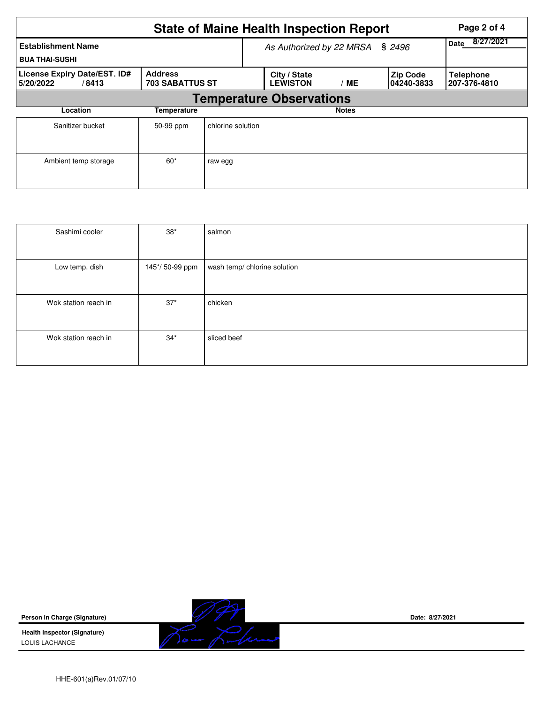|                                                    | Page 2 of 4                              |                                 |                                 |              |                                |                                  |  |  |  |  |
|----------------------------------------------------|------------------------------------------|---------------------------------|---------------------------------|--------------|--------------------------------|----------------------------------|--|--|--|--|
| <b>Establishment Name</b><br><b>BUA THAI-SUSHI</b> |                                          | As Authorized by 22 MRSA § 2496 | 8/27/2021<br>Date               |              |                                |                                  |  |  |  |  |
| License Expiry Date/EST. ID#<br>5/20/2022<br>/8413 | <b>Address</b><br><b>703 SABATTUS ST</b> |                                 | City / State<br><b>LEWISTON</b> | <b>ME</b>    | <b>Zip Code</b><br>104240-3833 | <b>Telephone</b><br>207-376-4810 |  |  |  |  |
| <b>Temperature Observations</b>                    |                                          |                                 |                                 |              |                                |                                  |  |  |  |  |
| Location                                           | <b>Temperature</b>                       |                                 |                                 | <b>Notes</b> |                                |                                  |  |  |  |  |
| Sanitizer bucket                                   | 50-99 ppm                                | chlorine solution               |                                 |              |                                |                                  |  |  |  |  |
| Ambient temp storage                               | $60*$                                    | raw egg                         |                                 |              |                                |                                  |  |  |  |  |

| Sashimi cooler       | $38^{\ast}$    | salmon                       |
|----------------------|----------------|------------------------------|
|                      |                |                              |
| Low temp. dish       | 145*/50-99 ppm | wash temp/ chlorine solution |
|                      |                |                              |
| Wok station reach in | $37*$          | chicken                      |
|                      |                |                              |
| Wok station reach in | $34*$          | sliced beef                  |
|                      |                |                              |

**Person in Charge (Signature)**

**Health Inspector (Signature)**  LOUIS LACHANCE



**Date: 8/27/2021**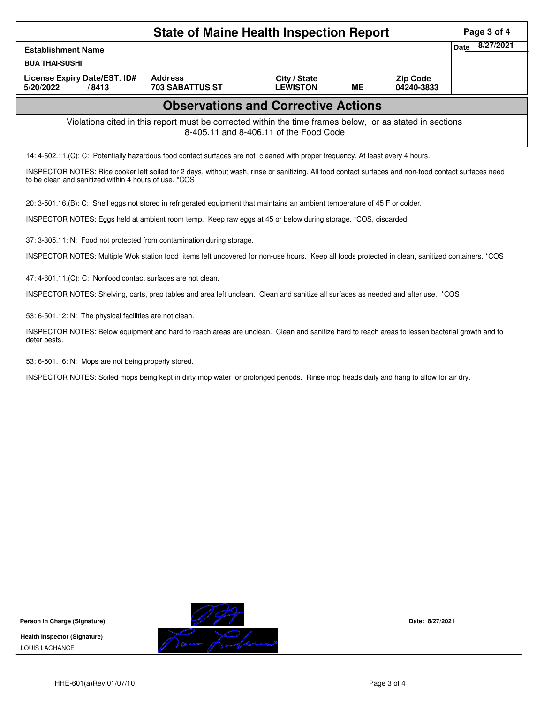| State of Maine Health Inspection Report                      |                                                                                                                                                      |                                        |           |                               |                   |  |  |  |  |
|--------------------------------------------------------------|------------------------------------------------------------------------------------------------------------------------------------------------------|----------------------------------------|-----------|-------------------------------|-------------------|--|--|--|--|
| <b>Establishment Name</b>                                    |                                                                                                                                                      |                                        |           |                               | 8/27/2021<br>Date |  |  |  |  |
| <b>BUA THAI-SUSHI</b>                                        |                                                                                                                                                      |                                        |           |                               |                   |  |  |  |  |
| License Expiry Date/EST. ID#<br>5/20/2022<br>/8413           | <b>Address</b><br><b>703 SABATTUS ST</b>                                                                                                             | City / State<br><b>LEWISTON</b>        | <b>ME</b> | <b>Zip Code</b><br>04240-3833 |                   |  |  |  |  |
| <b>Observations and Corrective Actions</b>                   |                                                                                                                                                      |                                        |           |                               |                   |  |  |  |  |
|                                                              | Violations cited in this report must be corrected within the time frames below, or as stated in sections                                             | 8-405.11 and 8-406.11 of the Food Code |           |                               |                   |  |  |  |  |
|                                                              | 14: 4-602.11. (C): C: Potentially hazardous food contact surfaces are not cleaned with proper frequency. At least every 4 hours.                     |                                        |           |                               |                   |  |  |  |  |
| to be clean and sanitized within 4 hours of use. *COS        | INSPECTOR NOTES: Rice cooker left soiled for 2 days, without wash, rinse or sanitizing. All food contact surfaces and non-food contact surfaces need |                                        |           |                               |                   |  |  |  |  |
|                                                              | 20: 3-501.16.(B): C: Shell eggs not stored in refrigerated equipment that maintains an ambient temperature of 45 F or colder.                        |                                        |           |                               |                   |  |  |  |  |
|                                                              | INSPECTOR NOTES: Eggs held at ambient room temp. Keep raw eggs at 45 or below during storage. *COS, discarded                                        |                                        |           |                               |                   |  |  |  |  |
|                                                              | 37: 3-305.11: N: Food not protected from contamination during storage.                                                                               |                                        |           |                               |                   |  |  |  |  |
|                                                              | INSPECTOR NOTES: Multiple Wok station food items left uncovered for non-use hours. Keep all foods protected in clean, sanitized containers. *COS     |                                        |           |                               |                   |  |  |  |  |
| 47: 4-601.11.(C): C: Nonfood contact surfaces are not clean. |                                                                                                                                                      |                                        |           |                               |                   |  |  |  |  |
|                                                              | INSPECTOR NOTES: Shelving, carts, prep tables and area left unclean. Clean and sanitize all surfaces as needed and after use. *COS                   |                                        |           |                               |                   |  |  |  |  |
| 53: 6-501.12: N: The physical facilities are not clean.      |                                                                                                                                                      |                                        |           |                               |                   |  |  |  |  |
| deter pests.                                                 | INSPECTOR NOTES: Below equipment and hard to reach areas are unclean. Clean and sanitize hard to reach areas to lessen bacterial growth and to       |                                        |           |                               |                   |  |  |  |  |

53: 6-501.16: N: Mops are not being properly stored.

INSPECTOR NOTES: Soiled mops being kept in dirty mop water for prolonged periods. Rinse mop heads daily and hang to allow for air dry.

**Person in Charge (Signature) Health Inspector (Signature)** 

LOUIS LACHANCE



**Date: 8/27/2021**